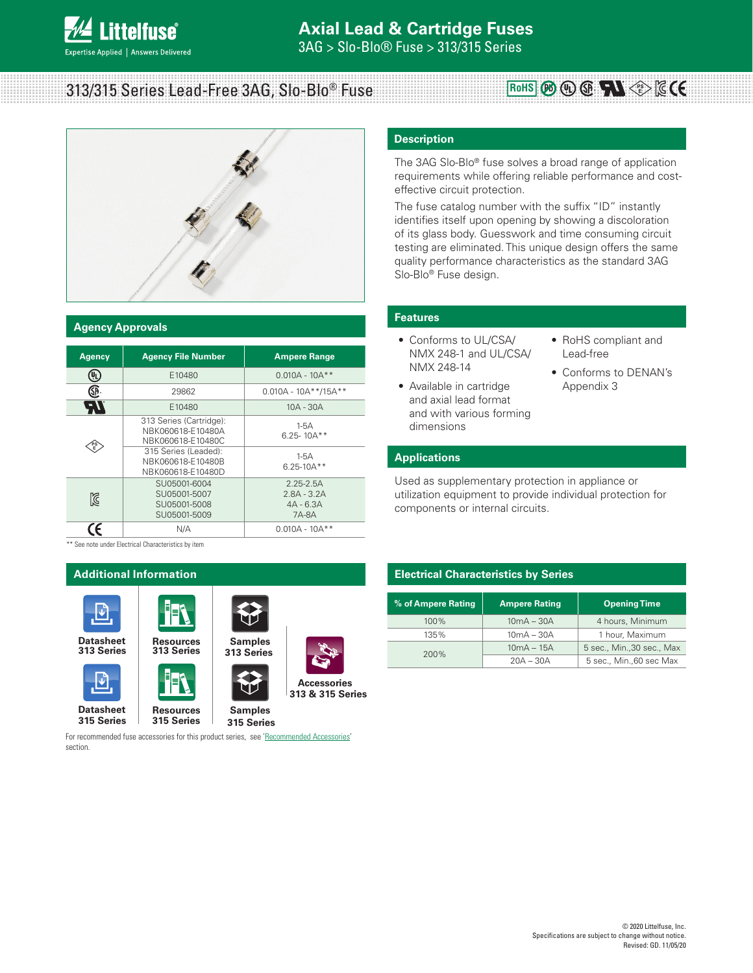# 313/315 Series Lead-Free 3AG, Slo-Blo<sup>®</sup> Fuse



### **Agency Approvals**

| <b>Agency</b> | <b>Agency File Number</b>                                         | <b>Ampere Range</b>                                    |
|---------------|-------------------------------------------------------------------|--------------------------------------------------------|
| UL,           | E10480                                                            | $0.010A - 10A**$                                       |
| Œ             | 29862                                                             | $0.010A - 10A**/15A**$                                 |
| AV.           | E10480                                                            | $10A - 30A$                                            |
|               | 313 Series (Cartridge):<br>NBK060618-E10480A<br>NBK060618-E10480C | $1-5A$<br>$6.25 - 10A**$                               |
|               | 315 Series (Leaded):<br>NBK060618-E10480B<br>NBK060618-E10480D    | $1-5A$<br>$6.25 - 10A**$                               |
| Ñ             | SU05001-6004<br>SU05001-5007<br>SU05001-5008<br>SU05001-5009      | $2.25 - 2.5A$<br>$2.8A - 3.2A$<br>$4A - 6.3A$<br>7A-8A |
|               | N/A                                                               | $0.010A - 10A**$                                       |

\*\* See note under Electrical Characteristics by item



For recommended fuse accessories for this product series, see 'Recommended Accessories' section.

### **Description**

The 3AG Slo-Blo® fuse solves a broad range of application requirements while offering reliable performance and costeffective circuit protection.

The fuse catalog number with the suffix "ID" instantly identifies itself upon opening by showing a discoloration of its glass body. Guesswork and time consuming circuit testing are eliminated. This unique design offers the same quality performance characteristics as the standard 3AG Slo-Blo® Fuse design.

### **Features**

- Conforms to UL/CSA/ NMX 248-1 and UL/CSA/ NMX 248-14
- Available in cartridge and axial lead format and with various forming dimensions
- RoHS compliant and Lead-free

**PS E**

• Conforms to DENAN's Appendix 3

### **Applications**

Used as supplementary protection in appliance or utilization equipment to provide individual protection for components or internal circuits.

### **Electrical Characteristics by Series**

| % of Ampere Rating | <b>Ampere Rating</b> | <b>Opening Time</b>        |
|--------------------|----------------------|----------------------------|
| $100\%$            | $10mA - 30A$         | 4 hours, Minimum           |
| 135%               | $10mA - 30A$         | 1 hour, Maximum            |
| 200%               | $10mA - 15A$         | 5 sec., Min., 30 sec., Max |
|                    | $20A - 30A$          | 5 sec., Min., 60 sec Max   |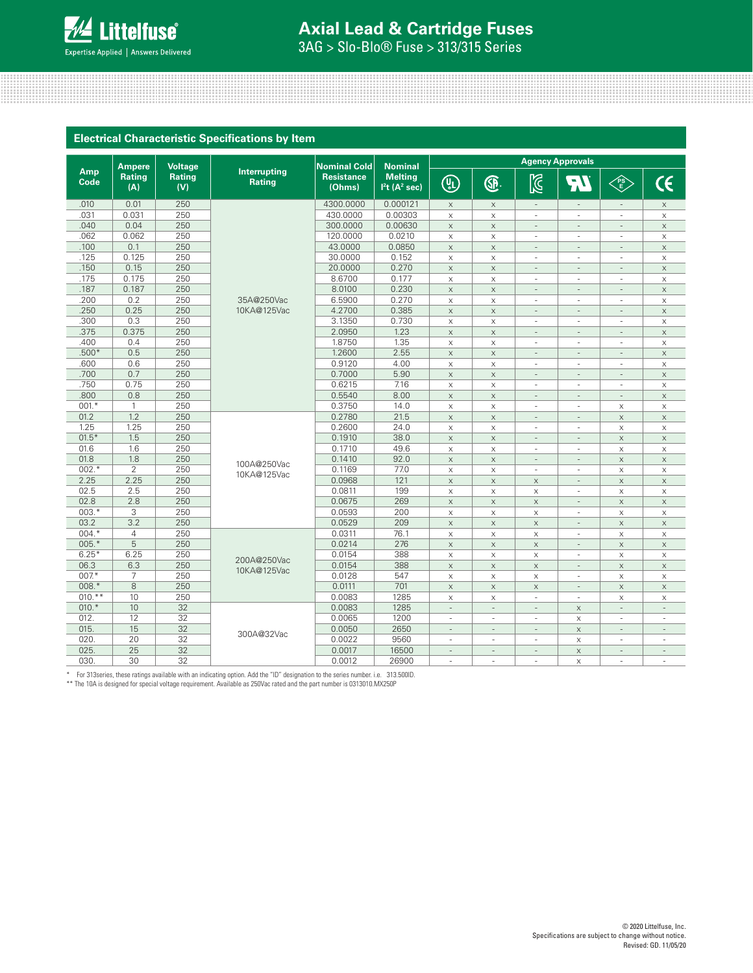

# **Axial Lead & Cartridge Fuses**

3AG > Slo-Blo® Fuse > 313/315 Series

| <b>Electrical Characteristic Specifications by Item</b> |  |
|---------------------------------------------------------|--|
|                                                         |  |
|                                                         |  |

|             | <b>Ampere</b>        | <b>Voltage</b>       |                               | <b>Nominal Cold</b>         | <b>Nominal</b>                                          | <b>Agency Approvals</b>   |                          |                           |                           |                           |                           |
|-------------|----------------------|----------------------|-------------------------------|-----------------------------|---------------------------------------------------------|---------------------------|--------------------------|---------------------------|---------------------------|---------------------------|---------------------------|
| Amp<br>Code | <b>Rating</b><br>(A) | <b>Rating</b><br>(V) | Interrupting<br><b>Rating</b> | <b>Resistance</b><br>(Ohms) | <b>Melting</b><br>I <sup>2</sup> t (A <sup>2</sup> sec) | $\bigcirc$                | <b>GP</b>                | $\boxtimes$               | $\blacksquare$            | E                         | $\mathsf{C}\mathsf{C}$    |
| .010        | 0.01                 | 250                  |                               | 4300.0000                   | 0.000121                                                | $\times$                  | $\times$                 | $\sim$                    | ÷                         | $\overline{\phantom{a}}$  | $\times$                  |
| .031        | 0.031                | 250                  |                               | 430.0000                    | 0.00303                                                 | $\times$                  | $\times$                 | ÷,                        |                           | à.                        | $\times$                  |
| .040        | 0.04                 | 250                  |                               | 300.0000                    | 0.00630                                                 | $\mathsf X$               | $\times$                 | ÷,                        |                           |                           | $\boldsymbol{\mathsf{X}}$ |
| .062        | 0.062                | 250                  |                               | 120.0000                    | 0.0210                                                  | $\mathsf X$               | $\times$                 | ÷.                        |                           | ÷.                        | $\boldsymbol{\mathsf{X}}$ |
| .100        | 0.1                  | 250                  |                               | 43.0000                     | 0.0850                                                  | $\mathsf X$               | $\times$                 | L.                        |                           | L.                        | $\mathsf X$               |
| .125        | 0.125                | 250                  |                               | 30,0000                     | 0.152                                                   | $\times$                  | $\times$                 | ÷,                        |                           | ä,                        | $\times$                  |
| .150        | 0.15                 | 250                  |                               | 20,0000                     | 0.270                                                   | $\mathsf X$               | $\times$                 | $\overline{a}$            |                           | $\overline{\phantom{a}}$  | $\mathsf X$               |
| .175        | 0.175                | 250                  |                               | 8.6700                      | 0.177                                                   | $\boldsymbol{\mathsf{X}}$ | $\times$                 | í.                        |                           |                           | X                         |
| .187        | 0.187                | 250                  |                               | 8.0100                      | 0.230                                                   | $\boldsymbol{\times}$     | $\times$                 | L,                        |                           | L,                        | $\mathsf X$               |
| .200        | 0.2                  | 250                  | 35A@250Vac                    | 6.5900                      | 0.270                                                   | $\boldsymbol{\mathsf{X}}$ | $\times$                 | ÷,                        |                           | ä,                        | $\boldsymbol{\mathsf{X}}$ |
| .250        | 0.25                 | 250                  | 10KA@125Vac                   | 4.2700                      | 0.385                                                   | $\mathsf X$               | $\times$                 | ÷                         |                           | ÷.                        | $\mathsf X$               |
| .300        | 0.3                  | 250                  |                               | 3.1350                      | 0.730                                                   | $\boldsymbol{\mathsf{X}}$ | $\times$                 | ٠                         |                           | ä,                        | X                         |
| .375        | 0.375                | 250                  |                               | 2.0950                      | 1.23                                                    | $\mathsf X$               | $\times$                 | $\overline{a}$            | ٠                         | $\overline{a}$            | $\mathsf X$               |
| .400        | 0.4                  | 250                  |                               | 1.8750                      | 1.35                                                    | $\boldsymbol{\mathsf{X}}$ | $\times$                 | ×                         | ×                         | ÷.                        | $\boldsymbol{\mathsf{X}}$ |
| $.500*$     | 0.5                  | 250                  |                               | 1.2600                      | 2.55                                                    | $\boldsymbol{\mathsf{X}}$ | $\mathsf X$              | $\overline{\phantom{a}}$  | $\sim$                    | $\overline{\phantom{a}}$  | $\boldsymbol{\mathsf{X}}$ |
| .600        | 0.6                  | 250                  |                               | 0.9120                      | 4.00                                                    | $\boldsymbol{\mathsf{X}}$ | $\times$                 | ٠                         | ٠                         | ÷.                        | $\boldsymbol{\times}$     |
| .700        | 0.7                  | 250                  |                               | 0.7000                      | 5.90                                                    | $\mathsf X$               | $\times$                 | ÷,                        | ÷,                        | ÷,                        | $\boldsymbol{\mathsf{X}}$ |
| .750        | 0.75                 | 250                  |                               | 0.6215                      | 7.16                                                    | $\mathsf X$               | $\times$                 | ÷,                        |                           | ÷.                        | $\boldsymbol{\mathsf{X}}$ |
| .800        | 0.8                  | 250                  |                               | 0.5540                      | 8.00                                                    | $\mathsf X$               | $\times$                 | i.                        |                           | $\overline{\phantom{a}}$  | $\boldsymbol{\mathsf{X}}$ |
| $001.*$     | $\mathbf{1}$         | 250                  |                               | 0.3750                      | 14.0                                                    | $\mathsf X$               | $\times$                 | ÷,                        |                           | X                         | $\boldsymbol{\mathsf{X}}$ |
| 01.2        | 1.2                  | 250                  |                               | 0.2780                      | 21.5                                                    | $\mathsf X$               | $\times$                 | ÷                         | $\overline{a}$            | $\boldsymbol{\mathsf{X}}$ | $\mathsf X$               |
| 1.25        | 1.25                 | 250                  |                               | 0.2600                      | 24.0                                                    | $\times$                  | $\times$                 | ÷,                        | ٠                         | $\times$                  | $\boldsymbol{\mathsf{X}}$ |
| $01.5*$     | 1.5                  | 250                  |                               | 0.1910                      | 38.0                                                    | $\mathsf X$               | $\times$                 | $\overline{a}$            | ÷                         | $\times$                  | $\mathsf X$               |
| 01.6        | 1.6                  | 250                  |                               | 0.1710                      | 49.6                                                    | $\boldsymbol{\mathsf{X}}$ | $\times$                 | ٠                         |                           | $\boldsymbol{\times}$     | $\boldsymbol{\times}$     |
| 01.8        | 1.8                  | 250                  | 100A@250Vac                   | 0.1410                      | 92.0                                                    | $\times$                  | $\times$                 | ÷,                        |                           | $\times$                  | $\times$                  |
| $002.*$     | $\overline{2}$       | 250                  | 10KA@125Vac                   | 0.1169                      | 77.0                                                    | X                         | $\times$                 | í.                        |                           | $\boldsymbol{\times}$     | X                         |
| 2.25        | 2.25                 | 250                  |                               | 0.0968                      | 121                                                     | $\times$                  | $\times$                 | $\mathsf X$               |                           | $\times$                  | $\times$                  |
| 02.5        | 2.5                  | 250                  |                               | 0.0811                      | 199                                                     | X                         | $\times$                 | X                         | $\overline{\phantom{a}}$  | X                         | X                         |
| 02.8        | 2.8                  | 250                  |                               | 0.0675                      | 269                                                     | $\times$                  | $\times$                 | $\times$                  |                           | $\times$                  | $\times$                  |
| $003.*$     | 3                    | 250                  |                               | 0.0593                      | 200                                                     | X                         | $\times$                 | $\boldsymbol{\mathsf{X}}$ | ٠                         | X                         | X                         |
| 03.2        | 3.2                  | 250                  |                               | 0.0529                      | 209                                                     | $\mathsf X$               | $\times$                 | $\boldsymbol{\mathsf{X}}$ | $\overline{\phantom{a}}$  | $\boldsymbol{\times}$     | $\mathsf X$               |
| $004.*$     | $\overline{4}$       | 250                  |                               | 0.0311                      | 76.1                                                    | $\boldsymbol{\mathsf{X}}$ | $\times$                 | $\boldsymbol{\mathsf{X}}$ | ÷                         | $\times$                  | $\boldsymbol{\times}$     |
| $005.*$     | 5                    | 250                  |                               | 0.0214                      | 276                                                     | $\mathsf X$               | $\times$                 | $\mathsf X$               | ÷,                        | $\boldsymbol{\mathsf{X}}$ | $\mathsf X$               |
| $6.25*$     | 6.25                 | 250                  | 200A@250Vac                   | 0.0154                      | 388                                                     | $\mathsf X$               | $\times$                 | $\boldsymbol{\times}$     | ÷                         | $\boldsymbol{\times}$     | $\boldsymbol{\times}$     |
| 06.3        | 6.3                  | 250                  | 10KA@125Vac                   | 0.0154                      | 388                                                     | $\mathsf X$               | $\times$                 | $\boldsymbol{\mathsf{X}}$ |                           | $\mathsf X$               | $\mathsf X$               |
| $007*$      | $\overline{7}$       | 250                  |                               | 0.0128                      | 547                                                     | $\boldsymbol{\mathsf{X}}$ | $\times$                 | $\boldsymbol{\mathsf{X}}$ | ä,                        | $\boldsymbol{\times}$     | $\boldsymbol{\times}$     |
| $008.*$     | 8                    | 250                  |                               | 0.0111                      | 701                                                     | $\mathsf X$               | $\times$                 | $\boldsymbol{\times}$     |                           | $\times$                  | $\boldsymbol{\times}$     |
| $010.**$    | 10                   | 250                  |                               | 0.0083                      | 1285                                                    | $\boldsymbol{\mathsf{X}}$ | $\times$                 | J.                        | ÷.                        | $\boldsymbol{\times}$     | X                         |
| $010.*$     | 10                   | 32                   |                               | 0.0083                      | 1285                                                    | $\sim$                    | ÷.                       | ÷                         | $\times$                  | ÷.                        | ÷                         |
| 012.        | 12                   | 32                   |                               | 0.0065                      | 1200                                                    | ÷.                        | ä,                       | ÷.                        | $\boldsymbol{\mathsf{X}}$ | ÷                         |                           |
| 015.        | 15                   | 32                   | 300A@32Vac                    | 0.0050                      | 2650                                                    | $\sim$                    | $\overline{\phantom{a}}$ | ÷                         | $\times$                  | ÷.                        | $\overline{\phantom{a}}$  |
| 020         | 20                   | 32                   |                               | 0.0022                      | 9560                                                    | ٠                         |                          | ÷.                        | $\times$                  | ÷                         |                           |
| 025.        | 25                   | 32                   |                               | 0.0017                      | 16500                                                   | ÷,                        | $\overline{a}$           | L,                        | $\times$                  | L.                        | $\overline{a}$            |
| 030         | 30                   | 32                   |                               | 0.0012                      | 26900                                                   |                           |                          |                           | $\times$                  |                           |                           |

\* For 313series, these ratings available with an indicating option. Add the "ID" designation to the series number. i.e. 313.500ID.<br>\*\* The 10A is designed for special voltage requirement. Available as 250Vac rated and the p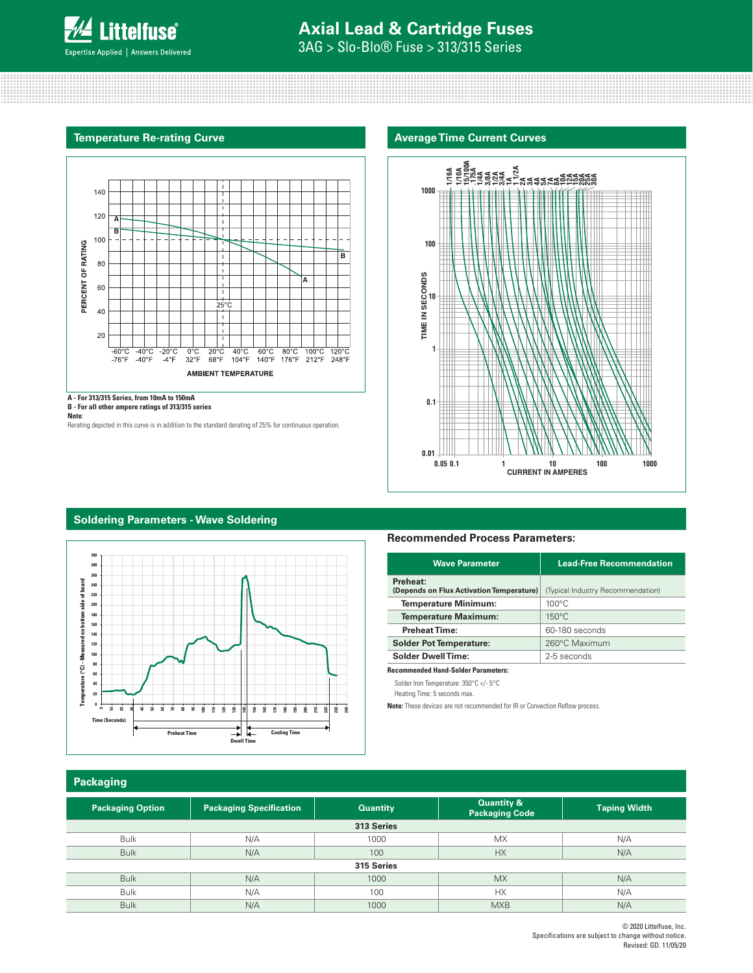

# **Axial Lead & Cartridge Fuses**

**Average Time Current Curves**

3AG > Slo-Blo® Fuse > 313/315 Series

### **Temperature Re-rating Curve**



**A - For 313/315 Series, from 10mA to 150mA B - For all other ampere ratings of 313/315 series**

**Note**:

Rerating depicted in this curve is in addition to the standard derating of 25% for continuous operation.

# **1000 100** TIME IN SECONDS **1 0.1 0.01 1/16A 0.05 0.1 1 10 100 1000 1/10A 15/100A .175A 1/4A 3/8A 1/2A 3/4A 1A1 1/2A 2A3A4A5A7A8A10A 12A 15A 20A 25A 30A TIME IN SECONDS CURRENT IN AMPERES**

## **Soldering Parameters - Wave Soldering**



### **Recommended Process Parameters:**

| <b>Lead-Free Recommendation</b>          |  |  |  |
|------------------------------------------|--|--|--|
| (Typical Industry Recommendation)        |  |  |  |
| $100^{\circ}$ C                          |  |  |  |
| $150^{\circ}$ C                          |  |  |  |
| 60-180 seconds                           |  |  |  |
| 260°C Maximum                            |  |  |  |
| 2-5 seconds                              |  |  |  |
| (Depends on Flux Activation Temperature) |  |  |  |

**Recommended Hand-Solder Parameters:**

Solder Iron Temperature: 350°C +/- 5°C

Heating Time: 5 seconds max.

**Note:** These devices are not recommended for IR or Convection Reflow process.

### **Packaging**

| <b>Packaging Option</b> | <b>Packaging Specification</b> | <b>Quantity</b> | <b>Quantity &amp;</b><br><b>Packaging Code</b> | <b>Taping Width</b> |  |  |  |
|-------------------------|--------------------------------|-----------------|------------------------------------------------|---------------------|--|--|--|
|                         |                                | 313 Series      |                                                |                     |  |  |  |
| <b>Bulk</b>             | N/A                            | 1000            | <b>MX</b>                                      | N/A                 |  |  |  |
| <b>Bulk</b>             | N/A                            | 100             | <b>HX</b>                                      | N/A                 |  |  |  |
| 315 Series              |                                |                 |                                                |                     |  |  |  |
| <b>Bulk</b>             | N/A                            | 1000            | <b>MX</b>                                      | N/A                 |  |  |  |
| <b>Bulk</b>             | N/A                            | 100             | <b>HX</b>                                      | N/A                 |  |  |  |
| <b>Bulk</b>             | N/A                            | 1000            | <b>MXB</b>                                     | N/A                 |  |  |  |